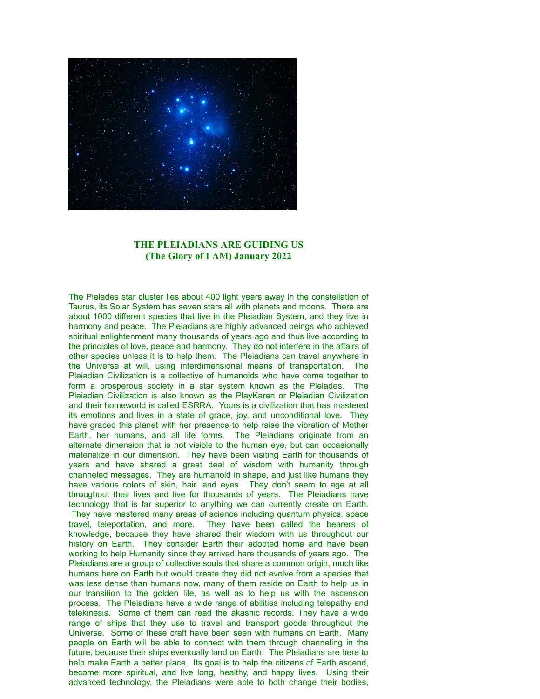

## **THE PLEIADIANS ARE GUIDING US (The Glory of I AM) January 2022**

The Pleiades star cluster lies about 400 light years away in the constellation of Taurus, its Solar System has seven stars all with planets and moons. There are about 1000 different species that live in the Pleiadian System, and they live in harmony and peace. The Pleiadians are highly advanced beings who achieved spiritual enlightenment many thousands of years ago and thus live according to the principles of love, peace and harmony. They do not interfere in the affairs of other species unless it is to help them. The Pleiadians can travel anywhere in the Universe at will, using interdimensional means of transportation. The Pleiadian Civilization is a collective of humanoids who have come together to form a prosperous society in a star system known as the Pleiades. The Pleiadian Civilization is also known as the PlayKaren or Pleiadian Civilization and their homeworld is called ESRRA. Yours is a civilization that has mastered its emotions and lives in a state of grace, joy, and unconditional love. They have graced this planet with her presence to help raise the vibration of Mother Earth, her humans, and all life forms. The Pleiadians originate from an alternate dimension that is not visible to the human eye, but can occasionally materialize in our dimension. They have been visiting Earth for thousands of years and have shared a great deal of wisdom with humanity through channeled messages. They are humanoid in shape, and just like humans they have various colors of skin, hair, and eyes. They don't seem to age at all throughout their lives and live for thousands of years. The Pleiadians have technology that is far superior to anything we can currently create on Earth. They have mastered many areas of science including quantum physics, space travel, teleportation, and more. They have been called the bearers of knowledge, because they have shared their wisdom with us throughout our history on Earth. They consider Earth their adopted home and have been working to help Humanity since they arrived here thousands of years ago. The Pleiadians are a group of collective souls that share a common origin, much like humans here on Earth but would create they did not evolve from a species that was less dense than humans now, many of them reside on Earth to help us in our transition to the golden life, as well as to help us with the ascension process. The Pleiadians have a wide range of abilities including telepathy and telekinesis. Some of them can read the akashic records. They have a wide range of ships that they use to travel and transport goods throughout the Universe. Some of these craft have been seen with humans on Earth. Many people on Earth will be able to connect with them through channeling in the future, because their ships eventually land on Earth. The Pleiadians are here to help make Earth a better place. Its goal is to help the citizens of Earth ascend, become more spiritual, and live long, healthy, and happy lives. Using their advanced technology, the Pleiadians were able to both change their bodies,